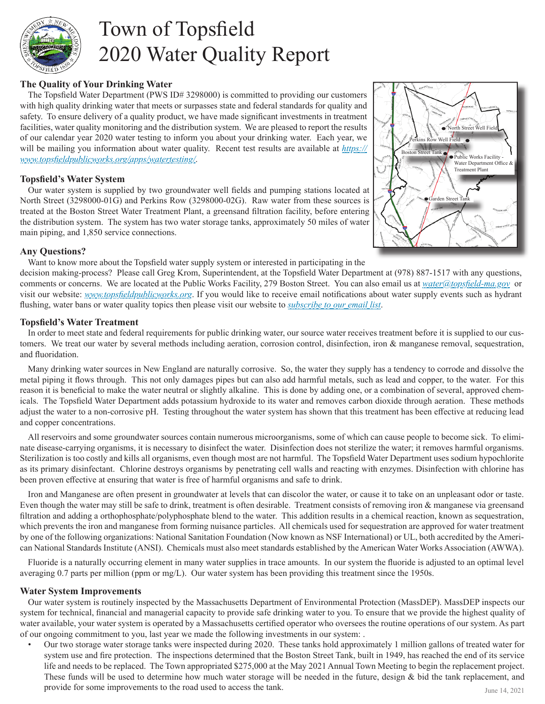

# Town of Topsfield 2020 Water Quality Report

### **The Quality of Your Drinking Water**

The Topsfield Water Department (PWS ID# 3298000) is committed to providing our customers with high quality drinking water that meets or surpasses state and federal standards for quality and safety. To ensure delivery of a quality product, we have made significant investments in treatment facilities, water quality monitoring and the distribution system. We are pleased to report the results of our calendar year 2020 water testing to inform you about your drinking water. Each year, we will be mailing you information about water quality. Recent test results are available at *https:// www.topsfi eldpublicworks.org/apps/watertesting/*.

### **Topsfield's Water System**

Our water system is supplied by two groundwater well fields and pumping stations located at North Street (3298000-01G) and Perkins Row (3298000-02G). Raw water from these sources is treated at the Boston Street Water Treatment Plant, a greensand filtration facility, before entering the distribution system. The system has two water storage tanks, approximately 50 miles of water main piping, and 1,850 service connections.



### **Any Questions?**

Want to know more about the Topsfield water supply system or interested in participating in the

decision making-process? Please call Greg Krom, Superintendent, at the Topsfield Water Department at (978) 887-1517 with any questions, comments or concerns. We are located at the Public Works Facility, 279 Boston Street. You can also email us at *water@topsfield-ma.gov* or visit our website: *www.topsfieldpublicworks.org*. If you would like to receive email notifications about water supply events such as hydrant flushing, water bans or water quality topics then please visit our website to *subscribe to our email list*.

### **Topsfield's Water Treatment**

In order to meet state and federal requirements for public drinking water, our source water receives treatment before it is supplied to our customers. We treat our water by several methods including aeration, corrosion control, disinfection, iron & manganese removal, sequestration, and fluoridation.

Many drinking water sources in New England are naturally corrosive. So, the water they supply has a tendency to corrode and dissolve the metal piping it flows through. This not only damages pipes but can also add harmful metals, such as lead and copper, to the water. For this reason it is beneficial to make the water neutral or slightly alkaline. This is done by adding one, or a combination of several, approved chemicals. The Topsfield Water Department adds potassium hydroxide to its water and removes carbon dioxide through aeration. These methods adjust the water to a non-corrosive pH. Testing throughout the water system has shown that this treatment has been effective at reducing lead and copper concentrations.

All reservoirs and some groundwater sources contain numerous microorganisms, some of which can cause people to become sick. To eliminate disease-carrying organisms, it is necessary to disinfect the water. Disinfection does not sterilize the water; it removes harmful organisms. Sterilization is too costly and kills all organisms, even though most are not harmful. The Topsfield Water Department uses sodium hypochlorite as its primary disinfectant. Chlorine destroys organisms by penetrating cell walls and reacting with enzymes. Disinfection with chlorine has been proven effective at ensuring that water is free of harmful organisms and safe to drink.

Iron and Manganese are often present in groundwater at levels that can discolor the water, or cause it to take on an unpleasant odor or taste. Even though the water may still be safe to drink, treatment is often desirable. Treatment consists of removing iron & manganese via greensand filtration and adding a orthophosphate/polyphosphate blend to the water. This addition results in a chemical reaction, known as sequestration, which prevents the iron and manganese from forming nuisance particles. All chemicals used for sequestration are approved for water treatment by one of the following organizations: National Sanitation Foundation (Now known as NSF International) or UL, both accredited by the American National Standards Institute (ANSI). Chemicals must also meet standards established by the American Water Works Association (AWWA).

Fluoride is a naturally occurring element in many water supplies in trace amounts. In our system the fluoride is adjusted to an optimal level averaging 0.7 parts per million (ppm or mg/L). Our water system has been providing this treatment since the 1950s.

### **Water System Improvements**

Our water system is routinely inspected by the Massachusetts Department of Environmental Protection (MassDEP). MassDEP inspects our system for technical, financial and managerial capacity to provide safe drinking water to you. To ensure that we provide the highest quality of water available, your water system is operated by a Massachusetts certified operator who oversees the routine operations of our system. As part of our ongoing commitment to you, last year we made the following investments in our system: .

• Our two storage water storage tanks were inspected during 2020. These tanks hold approximately 1 million gallons of treated water for system use and fire protection. The inspections determined that the Boston Street Tank, built in 1949, has reached the end of its service life and needs to be replaced. The Town appropriated \$275,000 at the May 2021 Annual Town Meeting to begin the replacement project. These funds will be used to determine how much water storage will be needed in the future, design & bid the tank replacement, and provide for some improvements to the road used to access the tank. June 14, 2021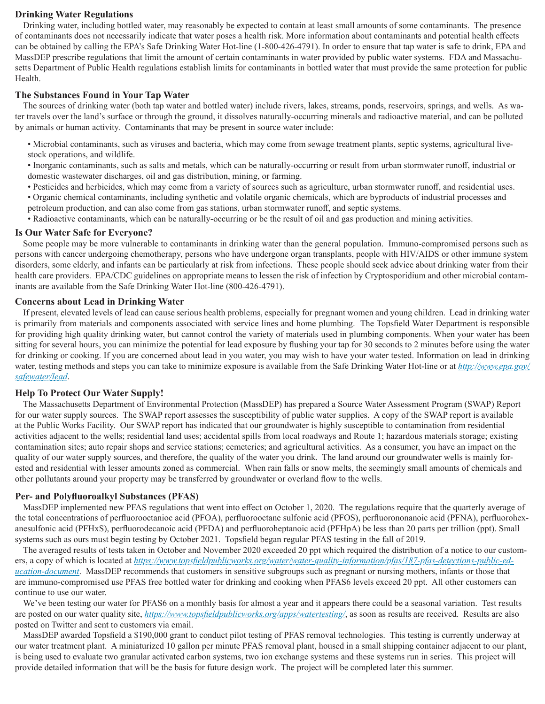### **Drinking Water Regulations**

Drinking water, including bottled water, may reasonably be expected to contain at least small amounts of some contaminants. The presence of contaminants does not necessarily indicate that water poses a health risk. More information about contaminants and potential health effects can be obtained by calling the EPA's Safe Drinking Water Hot-line (1-800-426-4791). In order to ensure that tap water is safe to drink, EPA and MassDEP prescribe regulations that limit the amount of certain contaminants in water provided by public water systems. FDA and Massachusetts Department of Public Health regulations establish limits for contaminants in bottled water that must provide the same protection for public Health.

### **The Substances Found in Your Tap Water**

The sources of drinking water (both tap water and bottled water) include rivers, lakes, streams, ponds, reservoirs, springs, and wells. As water travels over the land's surface or through the ground, it dissolves naturally-occurring minerals and radioactive material, and can be polluted by animals or human activity. Contaminants that may be present in source water include:

• Microbial contaminants, such as viruses and bacteria, which may come from sewage treatment plants, septic systems, agricultural livestock operations, and wildlife.

• Inorganic contaminants, such as salts and metals, which can be naturally-occurring or result from urban stormwater runoff , industrial or domestic wastewater discharges, oil and gas distribution, mining, or farming.

- Pesticides and herbicides, which may come from a variety of sources such as agriculture, urban stormwater runoff , and residential uses.
- Organic chemical contaminants, including synthetic and volatile organic chemicals, which are byproducts of industrial processes and petroleum production, and can also come from gas stations, urban stormwater runoff , and septic systems.
- Radioactive contaminants, which can be naturally-occurring or be the result of oil and gas production and mining activities.

### **Is Our Water Safe for Everyone?**

Some people may be more vulnerable to contaminants in drinking water than the general population. Immuno-compromised persons such as persons with cancer undergoing chemotherapy, persons who have undergone organ transplants, people with HIV/AIDS or other immune system disorders, some elderly, and infants can be particularly at risk from infections. These people should seek advice about drinking water from their health care providers. EPA/CDC guidelines on appropriate means to lessen the risk of infection by Cryptosporidium and other microbial contaminants are available from the Safe Drinking Water Hot-line (800-426-4791).

### **Concerns about Lead in Drinking Water**

If present, elevated levels of lead can cause serious health problems, especially for pregnant women and young children. Lead in drinking water is primarily from materials and components associated with service lines and home plumbing. The Topsfield Water Department is responsible for providing high quality drinking water, but cannot control the variety of materials used in plumbing components. When your water has been sitting for several hours, you can minimize the potential for lead exposure by flushing your tap for 30 seconds to 2 minutes before using the water for drinking or cooking. If you are concerned about lead in you water, you may wish to have your water tested. Information on lead in drinking water, testing methods and steps you can take to minimize exposure is available from the Safe Drinking Water Hot-line or at *http://www.epa.gov/ safewater/lead*.

### **Help To Protect Our Water Supply!**

The Massachusetts Department of Environmental Protection (MassDEP) has prepared a Source Water Assessment Program (SWAP) Report for our water supply sources. The SWAP report assesses the susceptibility of public water supplies. A copy of the SWAP report is available at the Public Works Facility. Our SWAP report has indicated that our groundwater is highly susceptible to contamination from residential activities adjacent to the wells; residential land uses; accidental spills from local roadways and Route 1; hazardous materials storage; existing contamination sites; auto repair shops and service stations; cemeteries; and agricultural activities. As a consumer, you have an impact on the quality of our water supply sources, and therefore, the quality of the water you drink. The land around our groundwater wells is mainly forested and residential with lesser amounts zoned as commercial. When rain falls or snow melts, the seemingly small amounts of chemicals and other pollutants around your property may be transferred by groundwater or overland flow to the wells.

### **Per- and Polyfluoroalkyl Substances (PFAS)**

MassDEP implemented new PFAS regulations that went into effect on October 1, 2020. The regulations require that the quarterly average of the total concentrations of perfluorooctanioc acid (PFOA), perfluorooctane sulfonic acid (PFOS), perfluorononanoic acid (PFNA), perfluorohexanesulfonic acid (PFHxS), perfluorodecanoic acid (PFDA) and perfluoroheptanoic acid (PFHpA) be less than 20 parts per trillion (ppt). Small systems such as ours must begin testing by October 2021. Topsfield began regular PFAS testing in the fall of 2019.

The averaged results of tests taken in October and November 2020 exceeded 20 ppt which required the distribution of a notice to our customers, a copy of which is located at *https://www.topsfieldpublicworks.org/water/water-quality-information/pfas/187-pfas-detections-public-education-document*. MassDEP recommends that customers in sensitive subgroups such as pregnant or nursing mothers, infants or those that are immuno-compromised use PFAS free bottled water for drinking and cooking when PFAS6 levels exceed 20 ppt. All other customers can continue to use our water.

We've been testing our water for PFAS6 on a monthly basis for almost a year and it appears there could be a seasonal variation. Test results are posted on our water quality site, *https://www.topsfieldpublicworks.org/apps/watertesting/*, as soon as results are received. Results are also posted on Twitter and sent to customers via email.

MassDEP awarded Topsfield a \$190,000 grant to conduct pilot testing of PFAS removal technologies. This testing is currently underway at our water treatment plant. A miniaturized 10 gallon per minute PFAS removal plant, housed in a small shipping container adjacent to our plant, is being used to evaluate two granular activated carbon systems, two ion exchange systems and these systems run in series. This project will provide detailed information that will be the basis for future design work. The project will be completed later this summer.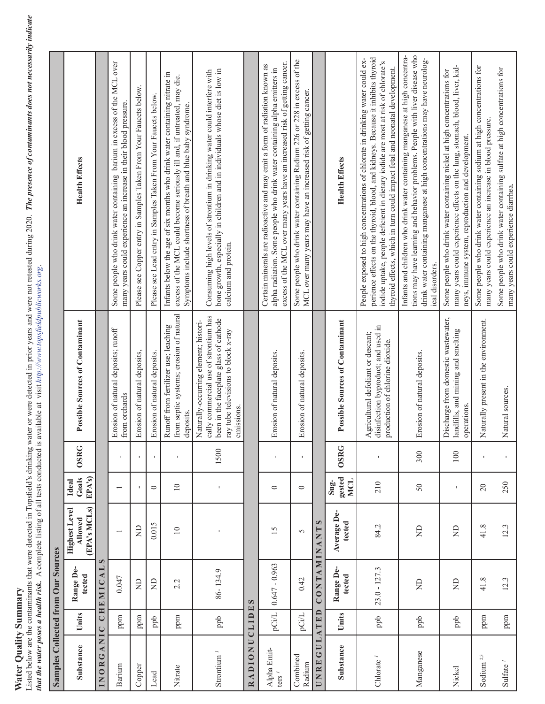# **Water Quality Summary**

Water Quality Summary<br>Listed below are the contaminants that were detected in Topsfield's drinking water or were detected in prior years and were not retested during 2020. The presence of contaminants does not necessarily Listed below are the contaminants that were detected in Topsfield's drinking water or were detected in prior years and were not retested during 2020. *The presence of contaminants does not necessarily indicate that the water poses a health risk.* A complete listing of all tests conducted is available at visit *http://www.topsfi eldpublicworks.org*.

|                                   |               | Samples Collected from Our Sources |                                                        |                                          |              |                                                                                                                                                                               |                                                                                                                                                                                                                                                                                                                                      |
|-----------------------------------|---------------|------------------------------------|--------------------------------------------------------|------------------------------------------|--------------|-------------------------------------------------------------------------------------------------------------------------------------------------------------------------------|--------------------------------------------------------------------------------------------------------------------------------------------------------------------------------------------------------------------------------------------------------------------------------------------------------------------------------------|
| Substance                         | Units         | Range De-<br>tected                | (EPA's MCLs)<br><b>Highest Level</b><br><b>Allowed</b> | EPA's)<br>Goals<br>Ideal                 | <b>OSRG</b>  | Possible Sources of Contaminant                                                                                                                                               | <b>Health Effects</b>                                                                                                                                                                                                                                                                                                                |
|                                   |               | INORGANIC CHEMICALS                |                                                        |                                          |              |                                                                                                                                                                               |                                                                                                                                                                                                                                                                                                                                      |
| Barium                            | ppm           | 0.047                              | $\overline{\phantom{0}}$                               | $\overline{\phantom{0}}$                 | $\mathbf{I}$ | Erosion of natural deposits; runoff<br>from orchards                                                                                                                          | Some people who drink water containing barium in excess of the MCL over<br>many years could experience an increase in their blood pressure.                                                                                                                                                                                          |
| Copper                            | ppm           | $\Xi$                              | $\Xi$                                                  | $\mathbf{I}$                             | $\mathbf{I}$ | Erosion of natural deposits,                                                                                                                                                  | Please see Copper entry in Samples Taken From Your Faucets below.                                                                                                                                                                                                                                                                    |
| Lead                              | $_{\rm ppb}$  | $\Xi$                              | 0.015                                                  | $\circ$                                  | $\mathbf{I}$ | Erosion of natural deposits.                                                                                                                                                  | Please see Lead entry in Samples Taken From Your Faucets below.                                                                                                                                                                                                                                                                      |
| Nitrate                           | ppm           | 2.2                                | $\supseteq$                                            | $\supseteq$                              | $\mathbf I$  | from septic systems; erosion of natural<br>Runoff from fertilizer use; leaching<br>deposits                                                                                   | Infants below the age of six months who drink water containing nitrate in<br>excess of the MCL could become seriously ill and, if untreated, may die.<br>Symptoms include shortness of breath and blue baby syndrome.                                                                                                                |
| Strontium $\prime$                | ppb           | 86-134.9                           | J.                                                     | $\mathbf{I}$                             | 1500         | cally commercial use of strontium has<br>been in the faceplate glass of cathode<br>Naturally-occurring element; histori-<br>ray tube televisions to block x-ray<br>emissions. | bone growth, especially in children and in individuals whose diet is low in<br>Consuming high levels of strontium in drinking water could interfere with<br>calcium and protein.                                                                                                                                                     |
| RADIONUCLIDES                     |               |                                    |                                                        |                                          |              |                                                                                                                                                                               |                                                                                                                                                                                                                                                                                                                                      |
| Alpha Emit-<br>$\text{ters}^{-1}$ | pCi/L         | $0.647 - 0.963$                    | 15                                                     | $\circ$                                  | f,           | Erosion of natural deposits.                                                                                                                                                  | excess of the MCL over many years have an increased risk of getting cancer.<br>Certain minerals are radioactive and may emit a form of radiation known as<br>alpha radiation. Some people who drink water containing alpha emitters in                                                                                               |
| Combined<br>Radium                | pCi/L         | 0.42                               | $\sim$                                                 | $\circ$                                  | $\mathbf{I}$ | Erosion of natural deposits.                                                                                                                                                  | Some people who drink water containing Radium 226 or 228 in excess of the<br>MCL over many years may have an increased risk of getting cancer.                                                                                                                                                                                       |
| UNREGUL                           | ATED          | CONTAMIN                           | $\infty$<br><b>ANT!</b>                                |                                          |              |                                                                                                                                                                               |                                                                                                                                                                                                                                                                                                                                      |
| Substance                         | Units         | Range De-<br>tected                | Average De-<br>tected                                  | gested<br><b>MCL</b><br>$\mathbf{S}$ ug- | <b>OSRG</b>  | <b>Possible Sources of Contaminant</b>                                                                                                                                        | <b>Health Effects</b>                                                                                                                                                                                                                                                                                                                |
| Chlorate <sup>1</sup>             | ppb           | $23.0 - 127.3$                     | 84.2                                                   | 210                                      |              | disinfection byproduct; and used in<br>Agricultural defoliant or descant;<br>production of chlorine dioxide.                                                                  | perience effects on the thyroid, blood, and kidneys. Because it inhibits thyroid<br>People exposed to high concentrations of chlorate in drinking water could ex-<br>iodide uptake, people deficient in dietary iodide are most at risk of chlorate's<br>thyroid effects, which in turn could impact fetal and neonatal development. |
| Manganese                         | ppb           | $\Xi$                              | g                                                      | 50                                       | 300          | Erosion of natural deposits.                                                                                                                                                  | Infants and children who drink water containing manganese at high concentra-<br>tions may have learning and behavior problems. People with liver disease who<br>drink water containing manganese at high concentrations may have neurolog-<br>ical disorders.                                                                        |
| Nickel                            | $_{\rm{ppb}}$ | $\Xi$                              | $\Xi$                                                  | $\mathbf{I}$                             | 100          | Discharge from domestic wastewater,<br>landfills, and mining and smelting<br>operations.                                                                                      | many years could experience effects on the lung, stomach, blood, liver, kid-<br>Some people who drink water containing nickel at high concentrations for<br>neys, immune system, reproduction and development.                                                                                                                       |
| Sodium <sup>2,3</sup>             | ppm           | 41.8                               | 41.8                                                   | $\overline{c}$                           | $\mathbf{I}$ | Naturally present in the environment.                                                                                                                                         | Some people who drink water containing sodium at high concentrations for<br>many years could experience an increase in blood pressure.                                                                                                                                                                                               |
| Sulfate $\prime$                  | ppm           | 12.3                               | 12.3                                                   | 250                                      |              | Natural sources.                                                                                                                                                              | Some people who drink water containing sulfate at high concentrations for<br>many years could experience diarrhea.                                                                                                                                                                                                                   |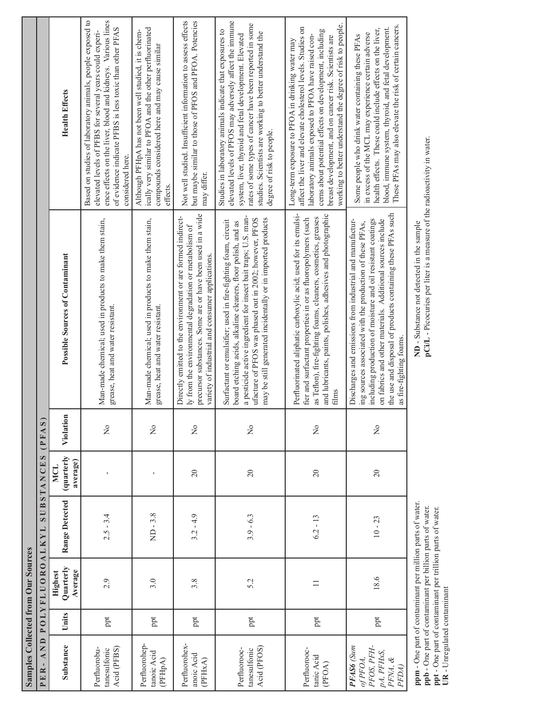| <b>Samples Collected from Our Sources</b><br>AND<br>PER-                   |        | POLYFLUORO                      | ALKYL          | SUBSTANCES                           | (PHAS)                              |                                                                                                                                                                                                                                                                                                                                              |                                                                                                                                                                                                                                                                                                                                                           |  |
|----------------------------------------------------------------------------|--------|---------------------------------|----------------|--------------------------------------|-------------------------------------|----------------------------------------------------------------------------------------------------------------------------------------------------------------------------------------------------------------------------------------------------------------------------------------------------------------------------------------------|-----------------------------------------------------------------------------------------------------------------------------------------------------------------------------------------------------------------------------------------------------------------------------------------------------------------------------------------------------------|--|
| Substance                                                                  | Units  | Quarterly<br>Average<br>Highest | Range Detected | (quarterly<br>average)<br><b>MCL</b> | Violation                           | <b>Possible Sources of Contaminant</b>                                                                                                                                                                                                                                                                                                       | <b>Health Effects</b>                                                                                                                                                                                                                                                                                                                                     |  |
| Acid (PFBS)<br>Perfluorobu-<br>tanesulfonic                                | ppt    | 2.9                             | $2.5 - 3.4$    | I.                                   | $\frac{1}{2}$                       | Man-made chemical; used in products to make them stain,<br>grease, heat and water resistant.                                                                                                                                                                                                                                                 | Based on studies of laboratory animals, people exposed to<br>ence effects on the liver, blood and kidneys. Various lines<br>of evidence indicate PFBS is less toxic than other PFAS<br>elevated levels of PFBS for several years could experi-<br>considered here.                                                                                        |  |
| Perfluorohep-<br>tanoic Acid<br>(PFH <sub>pA</sub> )                       | ppt    | 3.0                             | $ND-3.8$       | $\mathbf I$                          | $\frac{1}{2}$                       | Man-made chemical; used in products to make them stain,<br>grease, heat and water resistant.                                                                                                                                                                                                                                                 | ically very similar to PFOA and the other perfluorinated<br>Although PFHpA has not been well studied, it is chem-<br>compounds considered here and may cause similar<br>effects.                                                                                                                                                                          |  |
| Perfluorohex-<br>anoic Acid<br>(PFHxA)                                     | ppt    | 3.8                             | $3.2 - 4.9$    | $\overline{20}$                      | $\frac{1}{2}$                       | precursor substances. Some are or have been used in a wide<br>Directly emitted to the environment or are formed indirect-<br>ly from the environmental degradation or metabolism of<br>variety of industrial and consumer applications.                                                                                                      | Not well studied. Insufficient information to assess effects<br>but maybe similar to those of PFOS and PFOA. Potencies<br>may differ.                                                                                                                                                                                                                     |  |
| Acid (PFOS)<br>Perfluorooc-<br>tanesulfonic                                | ppt    | 5.2                             | $3.9 - 6.3$    | $20\,$                               | $\overline{\mathsf{z}}$             | a pesticide active ingredient for insect bait traps; U.S. man-<br>may be still generated incidentally or in imported products<br>ufacture of PFOS was phased out in 2002; however, PFOS<br>Surfactant or emulsifier; used in fire-fighting foam, circuit<br>board etching acids, alkaline cleaners, floor polish, and as                     | elevated levels of PFOS may adversely affect the immune<br>rates of some types of cancer have been reported in some<br>Studies in laboratory animals indicate that exposures to<br>studies. Scientists are working to better understand the<br>system, liver, thyroid and fetal development. Elevated<br>degree of risk to people.                        |  |
| Perfluorooc-<br>tanic Acid<br>(PFOA)                                       | ppt    | $\equiv$                        | $6.2 - 13$     | $20\,$                               | $\stackrel{\mathtt{o}}{\mathsf{z}}$ | Perfluorinated aliphatic carboxylic acid; used for its emulsi-<br>and lubricants, paints, polishes, adhesives and photographic<br>as Teflon), fire-fighting foams, cleaners, cosmetics, greases<br>fier and surfactant properties in or as fluoropolymers (such<br>films                                                                     | working to better understand the degree of risk to people.<br>affect the liver and elevate cholesterol levels. Studies on<br>cerns about potential effects on development, including<br>laboratory animals exposed to PFOA have raised con-<br>breast development, and on cancer risk. Scientists are<br>Long-term exposure to PFOA in drinking water may |  |
| PFAS6 (Sum<br>PFOS, PFH-<br>pA, PFHxS,<br>of PFOA,<br>$PKM, \ \&$<br>PFDA) | ppt    | 18.6                            | $10 - 23$      | $20\,$                               | $\frac{1}{2}$                       | the use and disposal of products containing these PFAs such<br>including production of moisture and oil resistant coatings<br>on fabrics and other materials. Additional sources include<br>Discharges and emissions from industrial and manufactur-<br>ing sources associated with the production of these PFAs,<br>as fire-fighting foams. | These PFAs may also elevate the risk of certain cancers.<br>blood, immune system, thyroid, and fetal development.<br>health effects. These could include effects on the liver,<br>in excess of the MCL may experience certain adverse<br>Some people who drink water containing these PFAs                                                                |  |
|                                                                            | ،<br>ٻ |                                 | ، ع<br>.<br>É  |                                      |                                     |                                                                                                                                                                                                                                                                                                                                              |                                                                                                                                                                                                                                                                                                                                                           |  |

**ppm** - One part of contaminant per million parts of water.<br> **ppb** - One part of contaminant per billion parts of water.<br> **ppt** - One part of contaminant per trillion parts of water.<br> **UR** - Unregulated contaminant **ppm** - One part of contaminant per million parts of water. **ppb** - One part of contaminant per billion parts of water. **ppt** - One part of contaminant per trillion parts of water. **UR** - Unregulated contaminant

ND - Substance not detected in the sample<br>pCi/L - Picocuries per liter is a measure of the radioactivity in water. **pCi/L** - Picocuries per liter is a measure of the radioactivity in water.**ND** - Substance not detected in the sample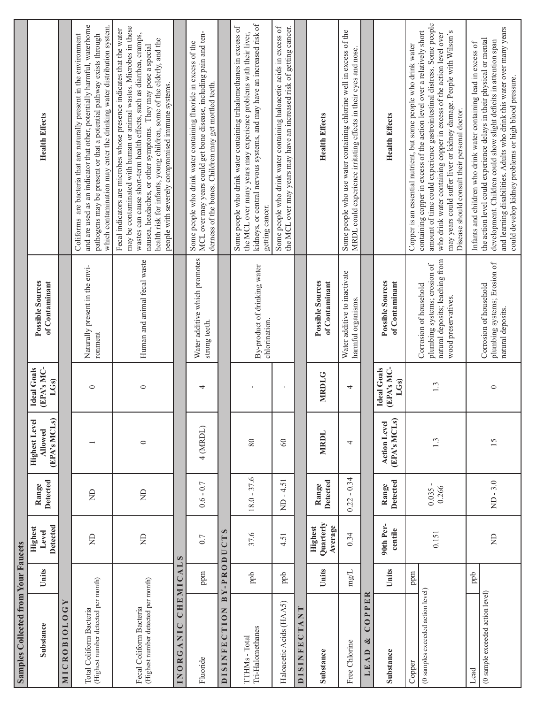| Samples Collected from Your Faucets                            |               |                                     |                           |                                                 |                                                       |                                                                                                                  |                                                                                                                                                                                                                                                                                                                                                                                                                       |
|----------------------------------------------------------------|---------------|-------------------------------------|---------------------------|-------------------------------------------------|-------------------------------------------------------|------------------------------------------------------------------------------------------------------------------|-----------------------------------------------------------------------------------------------------------------------------------------------------------------------------------------------------------------------------------------------------------------------------------------------------------------------------------------------------------------------------------------------------------------------|
| Substance                                                      | Units         | <b>Detected</b><br>Highest<br>Level | Detected<br>Range         | (EPA's MCLs)<br><b>Highest Level</b><br>Allowed | (EPA's MC-<br><b>Ideal Goals</b><br>LG <sub>S</sub> ) | <b>Possible Sources</b><br>of Contaminant                                                                        | <b>Health Effects</b>                                                                                                                                                                                                                                                                                                                                                                                                 |
| MICROBIOLOGY                                                   |               |                                     |                           |                                                 |                                                       |                                                                                                                  |                                                                                                                                                                                                                                                                                                                                                                                                                       |
| (Highest number detected per month)<br>Total Coliform Bacteria |               | g                                   | £                         |                                                 | $\circ$                                               | Naturally present in the envi-<br>ronment                                                                        | and are used as an indicator that other, potentially harmful, waterborne<br>which contamination may enter the drinking water distribution system.<br>Coliforms are bacteria that are naturally present in the environment<br>pathogens may be present or that a potential pathway exists through                                                                                                                      |
| (Highest number detected per month)<br>Fecal Coliform Bacteria |               | $\Xi$                               | $\Xi$                     | $\circ$                                         | $\circ$                                               | Human and animal fecal waste                                                                                     | may be contaminated with human or animal wastes. Microbes in these<br>Fecal indicators are microbes whose presence indicates that the water<br>wastes can cause short-term health effects, such as diarrhea, cramps,<br>health risk for infants, young children, some of the elderly, and the<br>nausea, headaches, or other symptoms. They may pose a special<br>people with severely compromised immune systems.    |
| CHEMIC<br>INORGANIC                                            | AL            | $\omega$                            |                           |                                                 |                                                       |                                                                                                                  |                                                                                                                                                                                                                                                                                                                                                                                                                       |
| Fluoride                                                       | ppm           | 0.7                                 | $0.6 - 0.7$               | 4 (MRDL)                                        | 4                                                     | Water additive which promotes<br>strong teeth.                                                                   | MCL over may years could get bone disease, including pain and ten-<br>Some people who drink water containing fluoride in excess of the<br>derness of the bones. Children may get mottled teeth.                                                                                                                                                                                                                       |
| BY<br><b>DISINFECTION</b>                                      |               | $\omega$<br>-PRODUCT                |                           |                                                 |                                                       |                                                                                                                  |                                                                                                                                                                                                                                                                                                                                                                                                                       |
| Tri-Halomethanes<br>TTHMs - Total                              | $_{\rm{ppb}}$ | 37.6                                | $18.0 - 37.6$             | 80                                              |                                                       | By-product of drinking water<br>chlorination.                                                                    | kidneys, or central nervous systems, and may have an increased risk of<br>Some people who drink water containing trihalomethanes in excess of<br>the MCL over many years may experience problems with their liver,<br>getting cancer.                                                                                                                                                                                 |
| Haloacetic Acids (HAA5)                                        | ppb           | 4.51                                | 4.51<br>$\mathbf{I}$<br>Ê | $\infty$                                        | $\blacksquare$                                        |                                                                                                                  | Some people who drink water containing haloacetic acids in excess of<br>the MCL over may years may have an increased risk of getting cancer.                                                                                                                                                                                                                                                                          |
| <b>DISINFECTAN</b>                                             |               |                                     |                           |                                                 |                                                       |                                                                                                                  |                                                                                                                                                                                                                                                                                                                                                                                                                       |
| Substance                                                      | Units         | Quarterly<br>Average<br>Highest     | <b>Detected</b><br>Range  | MRDL                                            | <b>MRDLG</b>                                          | <b>Possible Sources</b><br>of Contaminant                                                                        | <b>Health Effects</b>                                                                                                                                                                                                                                                                                                                                                                                                 |
| Free Chlorine                                                  | $\rm mg/L$    | 0.34                                | $-0.34$<br>0.22           | 4                                               | 4                                                     | Water additive to inactivate<br>harmful organisms.                                                               | Some people who use water containing chlorine well in excess of the<br>MRDL could experience irritating effects in their eyes and nose.                                                                                                                                                                                                                                                                               |
| $\approx$<br>$\mathbf{E}$<br>COPP<br>ಳ<br>$LEA$ D              |               |                                     |                           |                                                 |                                                       |                                                                                                                  |                                                                                                                                                                                                                                                                                                                                                                                                                       |
| Substance                                                      | Units         | 90th Per-<br>centile                | <b>Detected</b><br>Range  | (EPA's MCLs)<br><b>Action Level</b>             | (EPA's MC-<br><b>Ideal Goals</b><br>LGs)              | <b>Possible Sources</b><br>of Contaminant                                                                        | <b>Health Effects</b>                                                                                                                                                                                                                                                                                                                                                                                                 |
| (0 samples exceeded action level)<br>Copper                    | ppm           | 0.151                               | 0.266<br>0.035            | 1.3                                             | 1.3                                                   | natural deposits; leaching from<br>plumbing systems; erosion of<br>Corrosion of household<br>wood preservatives. | amount of time could experience gastrointestinal distress. Some people<br>containing copper in excess of the action level over a relatively short<br>may years could suffer liver or kidney damage. People with Wilson's<br>who drink water containing copper in excess of the action level over<br>Copper is an essential nutrient, but some people who drink water<br>Disease should consult their personal doctor. |
| (0 sample exceeded action level)<br>Lead                       | ppb           | $\Xi$                               | $ND-3.0$                  | 15                                              | $\circ$                                               | plumbing systems; Erosion of<br>Corrosion of household<br>natural deposits.                                      | and learning disabilities. Adults who drink this water over many years<br>the action level could experience delays in their physical or mental<br>development. Children could show slight deficits in attention span<br>Infants and children who drink water containing lead in excess of<br>could develop kidney problems or high blood pressure.                                                                    |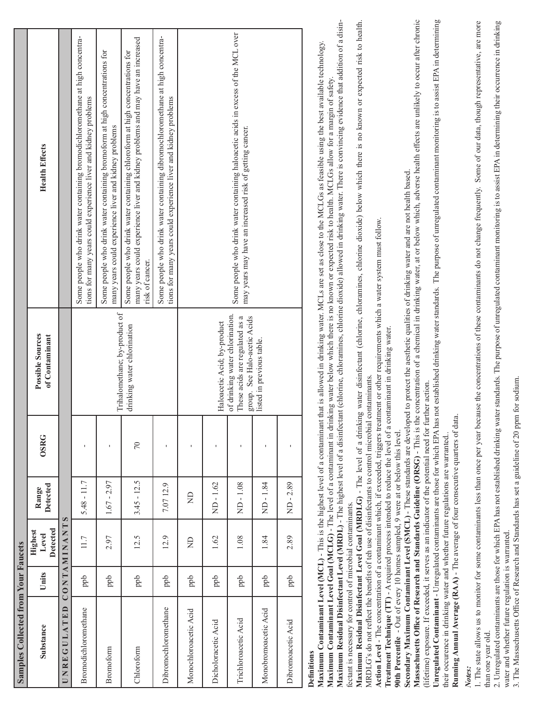| <b>Samples Collected from Your Faucets</b>                                                                                                                                              |               |                              |                          |             |                                                                                                                                                                                                                                                                    |                                                                                                                                                                                                                                                                                                                                                                                                                                                                                                                                                                                                                                                                                                                                                                                                                |
|-----------------------------------------------------------------------------------------------------------------------------------------------------------------------------------------|---------------|------------------------------|--------------------------|-------------|--------------------------------------------------------------------------------------------------------------------------------------------------------------------------------------------------------------------------------------------------------------------|----------------------------------------------------------------------------------------------------------------------------------------------------------------------------------------------------------------------------------------------------------------------------------------------------------------------------------------------------------------------------------------------------------------------------------------------------------------------------------------------------------------------------------------------------------------------------------------------------------------------------------------------------------------------------------------------------------------------------------------------------------------------------------------------------------------|
| Substance                                                                                                                                                                               | Units         | Detected<br>Highest<br>Level | <b>Detected</b><br>Range | <b>OSRG</b> | <b>Possible Sources</b><br>of Contaminant                                                                                                                                                                                                                          | <b>Health Effects</b>                                                                                                                                                                                                                                                                                                                                                                                                                                                                                                                                                                                                                                                                                                                                                                                          |
| UNREGULATED                                                                                                                                                                             |               | <b>CONTAMINANTS</b>          |                          |             |                                                                                                                                                                                                                                                                    |                                                                                                                                                                                                                                                                                                                                                                                                                                                                                                                                                                                                                                                                                                                                                                                                                |
| Bromodichloromethane                                                                                                                                                                    | ppb           | 11.7                         | $5.48 - 11.7$            |             |                                                                                                                                                                                                                                                                    | Some people who drink water containing bromodichloromethane at high concentra-<br>tions for many years could experience liver and kidney problems                                                                                                                                                                                                                                                                                                                                                                                                                                                                                                                                                                                                                                                              |
| Bromoform                                                                                                                                                                               | ppb           | 2.97                         | $1.67 - 2.97$            | J.          | Trihalomethane; by-product of                                                                                                                                                                                                                                      | Some people who drink water containing bromoform at high concentrations for<br>many years could experience liver and kidney problems                                                                                                                                                                                                                                                                                                                                                                                                                                                                                                                                                                                                                                                                           |
| Chloroform                                                                                                                                                                              | ppb           | 12.5                         | $3.45 - 12.5$            | $\sqrt{2}$  | drinking water chlorination                                                                                                                                                                                                                                        | many years could experience liver and kidney problems and may have an increased<br>Some people who drink water containing chloroform at high concentrations for<br>risk of cancer.                                                                                                                                                                                                                                                                                                                                                                                                                                                                                                                                                                                                                             |
| Dibromochloromethane                                                                                                                                                                    | ppb           | 12.9                         | 7.0712.9                 |             |                                                                                                                                                                                                                                                                    | Some people who drink water containing dibromochloromethane at high concentra-<br>tions for many years could experience liver and kidney problems                                                                                                                                                                                                                                                                                                                                                                                                                                                                                                                                                                                                                                                              |
| Monochloroacetic Acid                                                                                                                                                                   | ppb           | g                            | $\Xi$                    |             |                                                                                                                                                                                                                                                                    |                                                                                                                                                                                                                                                                                                                                                                                                                                                                                                                                                                                                                                                                                                                                                                                                                |
| Dicholoracetic Acid                                                                                                                                                                     | ppb           | 1.62                         | ND-1.62                  |             | Haloacetic Acid; by-product                                                                                                                                                                                                                                        |                                                                                                                                                                                                                                                                                                                                                                                                                                                                                                                                                                                                                                                                                                                                                                                                                |
| Trichloroacetic Acid                                                                                                                                                                    | $_{\rm{ppb}}$ | 1.08                         | ND-1.08                  | ı           | of drinking water chlorination.<br>These acids are regulated as a<br>group. See Halo-acetic Acids                                                                                                                                                                  | Some people who drink water containing haloacetic acids in excess of the MCL over<br>may years may have an increased risk of getting cancer.                                                                                                                                                                                                                                                                                                                                                                                                                                                                                                                                                                                                                                                                   |
| Monobromoacetic Acid                                                                                                                                                                    | ppb           | 1.84                         | ND-1.84                  |             | listed in previous table.                                                                                                                                                                                                                                          |                                                                                                                                                                                                                                                                                                                                                                                                                                                                                                                                                                                                                                                                                                                                                                                                                |
| Dibromoacetic Acid                                                                                                                                                                      | ppb           | 2.89                         | $MD - 2.89$              |             |                                                                                                                                                                                                                                                                    |                                                                                                                                                                                                                                                                                                                                                                                                                                                                                                                                                                                                                                                                                                                                                                                                                |
| MRDLG's do not reflect the benefits of teh use of disinfectants to control microbial contaminants.<br>fectant is necessary for control of microbial contaminants.<br><b>Definitions</b> |               |                              |                          |             | Action Level - The concentration of a contaminant which, if exceeded, triggers treatment or other requirements which a water system must follow.<br>Treatment Technique (TT) - A required process intended to reduce the level of a contaminant in drinking water. | Maximum Residual Disinfectant Level (MRDL) - The highest level of a disinfectant (chlorine, chloramines, chlorine dioxide) allowed in drinking water. There is convincing evidence that addition of a disin-<br>Maximum Residual Disinfectant Level Goal (MRDLG) - The level of a drinking water disinfectant (chlorine, chloramines, chlorine dioxide) below which there is no known or expected risk to health.<br>Maximum Contaminant Level (MCL) - This is the highest level of a contaminant that is allowed in drinking water. MCLs are set as close to the MCLGs as feasible using the best available technology.<br>Maximum Contaminant Level Goal (MCLG) - The level of a contaminant in drinking water below which there is no known or expected risk to health. MCLGs allow for a margin of safety. |
| 90th Percentile - Out of every 10 homes sampled, 9 were at or below this level.                                                                                                         |               |                              |                          |             |                                                                                                                                                                                                                                                                    |                                                                                                                                                                                                                                                                                                                                                                                                                                                                                                                                                                                                                                                                                                                                                                                                                |

Secondary Maximum Contaminant Level (SMCL) - These standards are developed to protect the aesthetic qualities of drinking water and are not health based. **Secondary Maximum Contaminant Level (SMCL)** - These standards are developed to protect the aesthetic qualities of drinking water and are not health based.

Massachusetts Office of Research and Standards Guideline (ORSG) - This is the concentration of a chemical in drinking water, at or below which, adverse health effects are unlikely to occur after chronic Massachusetts Office of Research and Standards Guideline (ORSG) - This is the concentration of a chemical in drinking water, at or below which, adverse health effects are unlikely to occur after chronic (lifetime) exposure. If exceeded, it serves as an indicator of the potential need for further action. (lifetime) exposure. If exceeded, it serves as an indicator of the potential need for further action.

**Unregulated Contaminant** - Unregulated contaminants are those for which EPA has not established drinking water standards. The purpose of unregulated contaminant monitoring is to assist EPA in determining Unregulated Contaminant - Unregulated contaminants are those for which EPA has not established drinking water standards. The purpose of unregulated contaminant monitoring is to assist EPA in determining their occurence in drinking water and whether future regulations are warranted.. their occurence in drinking water and whether future regulations are warranted.

Running Annual Average (RAA) - The average of four consecutive quarters of data. **Running Annual Average (RAA)** - The average of four consecutive quarters of data.

*Notes:*

1. The state allows us to monitor for some contaminants less than once per year because the concentrations of these contaminants do not change frequently. Some of our data, though representative, are more 1. The state allows us to monitor for some contaminants less than once per year because the concentrations of these contaminants do not change frequently. Some of our data, though representative, are more than one year old. than one year old.

2. Unregulated contaminants are those for which EPA has not established drinking water standards. The purpose of unregulated contaminant monitoring is to assist EPA in determining their occurrence in drinking 2. Unregulated contaminants are those for which EPA has not established drinking water standards. The purpose of unregulated contaminant monitoring is to assist EPA in determining their occurrence in drinking water and whether future regulation is warranted. water and whether future regulation is warranted.

3. The Massachusetts Office of Research and Standards has set a guideline of 20 ppm for sodium. 3. The Massachusetts Offi ce of Research and Standards has set a guideline of 20 ppm for sodium.